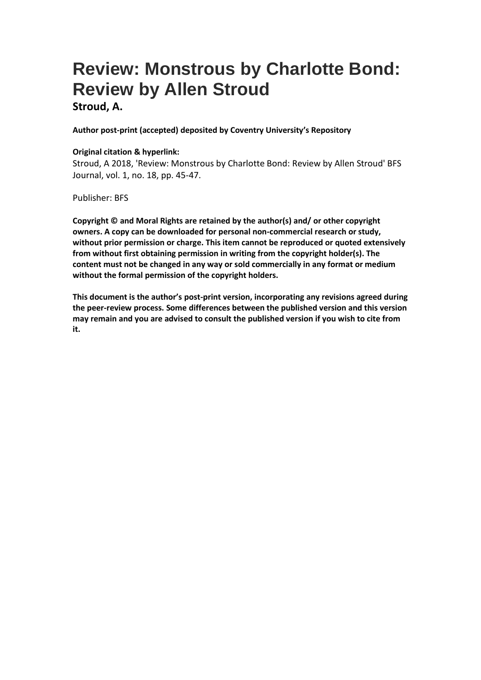## **Review: Monstrous by Charlotte Bond: Review by Allen Stroud**

**Stroud, A.**

**Author post-print (accepted) deposited by Coventry University's Repository**

## **Original citation & hyperlink:**

Stroud, A 2018, 'Review: Monstrous by Charlotte Bond: Review by Allen Stroud' BFS Journal, vol. 1, no. 18, pp. 45-47.

Publisher: BFS

**Copyright © and Moral Rights are retained by the author(s) and/ or other copyright owners. A copy can be downloaded for personal non-commercial research or study, without prior permission or charge. This item cannot be reproduced or quoted extensively from without first obtaining permission in writing from the copyright holder(s). The content must not be changed in any way or sold commercially in any format or medium without the formal permission of the copyright holders.** 

**This document is the author's post-print version, incorporating any revisions agreed during the peer-review process. Some differences between the published version and this version may remain and you are advised to consult the published version if you wish to cite from it.**